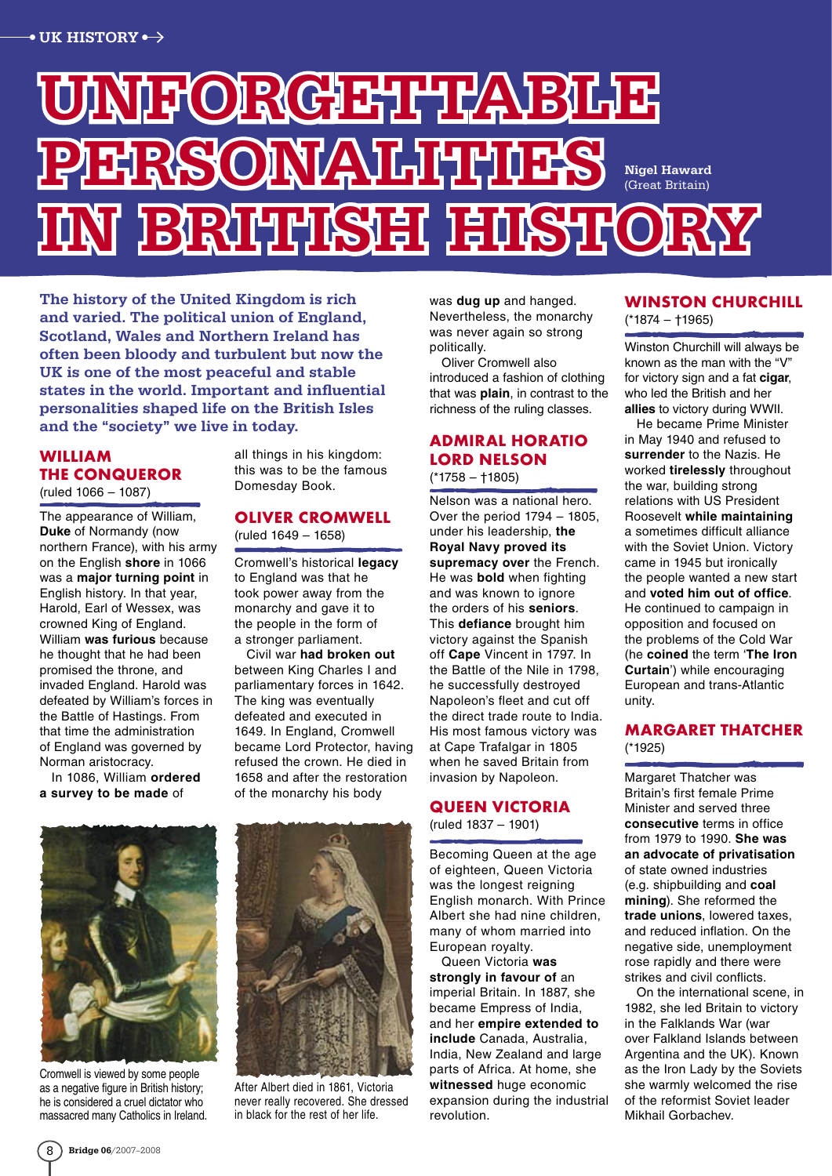# ORGETHAB personalities ibirin In Islamshe Nigel Haward (Great Britain)

The history of the United Kingdom is rich and varied. The political union of England, Scotland, Wales and Northern Ireland has often been bloody and turbulent but now the UK is one of the most peaceful and stable states in the world. Important and influential personalities shaped life on the British Isles and the "society" we live in today.

### **William the Conqueror**  (ruled 1066 – 1087)

The appearance of William, **Duke** of Normandy (now northern France), with his army on the English **shore** in 1066 was a **major turning point** in English history. In that year, Harold, Earl of Wessex, was crowned King of England. William **was furious** because he thought that he had been promised the throne, and invaded England. Harold was defeated by William's forces in the Battle of Hastings. From that time the administration of England was governed by Norman aristocracy.

In 1086, William **ordered a survey to be made** of

all things in his kingdom: this was to be the famous Domesday Book.

#### **Oliver Cromwell**  (ruled 1649 – 1658)

Cromwell's historical **legacy** to England was that he took power away from the monarchy and gave it to the people in the form of a stronger parliament.

Civil war **had broken out** between King Charles I and parliamentary forces in 1642. The king was eventually defeated and executed in 1649. In England, Cromwell became Lord Protector, having refused the crown. He died in 1658 and after the restoration of the monarchy his body



Cromwell is viewed by some people as a negative figure in British history; he is considered a cruel dictator who massacred many Catholics in Ireland.



After Albert died in 1861, Victoria never really recovered. She dressed in black for the rest of her life.

was **dug up** and hanged. Nevertheless, the monarchy was never again so strong politically.

Oliver Cromwell also introduced a fashion of clothing that was **plain**, in contrast to the richness of the ruling classes.

### **Admiral Horatio Lord Nelson**

(\*1758 – †1805)

Nelson was a national hero. Over the period 1794 – 1805, under his leadership, **the Royal Navy proved its supremacy over** the French. He was **bold** when fighting and was known to ignore the orders of his **seniors**. This **defiance** brought him victory against the Spanish off **Cape** Vincent in 1797. In the Battle of the Nile in 1798, he successfully destroyed Napoleon's fleet and cut off the direct trade route to India. His most famous victory was at Cape Trafalgar in 1805 when he saved Britain from invasion by Napoleon.

### **Queen Victoria**

(ruled 1837 – 1901)

Becoming Queen at the age of eighteen, Queen Victoria was the longest reigning English monarch. With Prince Albert she had nine children, many of whom married into European royalty.

Queen Victoria **was strongly in favour of** an imperial Britain. In 1887, she became Empress of India, and her **empire extended to include** Canada, Australia, India, New Zealand and large parts of Africa. At home, she **witnessed** huge economic expansion during the industrial revolution.

## **Winston Churchill**

(\*1874 – †1965)

Winston Churchill will always be known as the man with the "V" for victory sign and a fat **cigar**, who led the British and her **allies** to victory during WWII.

He became Prime Minister in May 1940 and refused to **surrender** to the Nazis. He worked **tirelessly** throughout the war, building strong relations with US President Roosevelt **while maintaining**  a sometimes difficult alliance with the Soviet Union. Victory came in 1945 but ironically the people wanted a new start and **voted him out of office**. He continued to campaign in opposition and focused on the problems of the Cold War (he **coined** the term '**The Iron Curtain**') while encouraging European and trans-Atlantic unity.

### **Margaret Thatcher**  (\*1925)

Margaret Thatcher was Britain's first female Prime Minister and served three **consecutive** terms in office from 1979 to 1990. **She was an advocate of privatisation** of state owned industries (e.g. shipbuilding and **coal mining**). She reformed the **trade unions**, lowered taxes, and reduced inflation. On the negative side, unemployment rose rapidly and there were strikes and civil conflicts.

On the international scene, in 1982, she led Britain to victory in the Falklands War (war over Falkland Islands between Argentina and the UK). Known as the Iron Lady by the Soviets she warmly welcomed the rise of the reformist Soviet leader Mikhail Gorbachev.

 $8$  Bridge 06/2007-2008